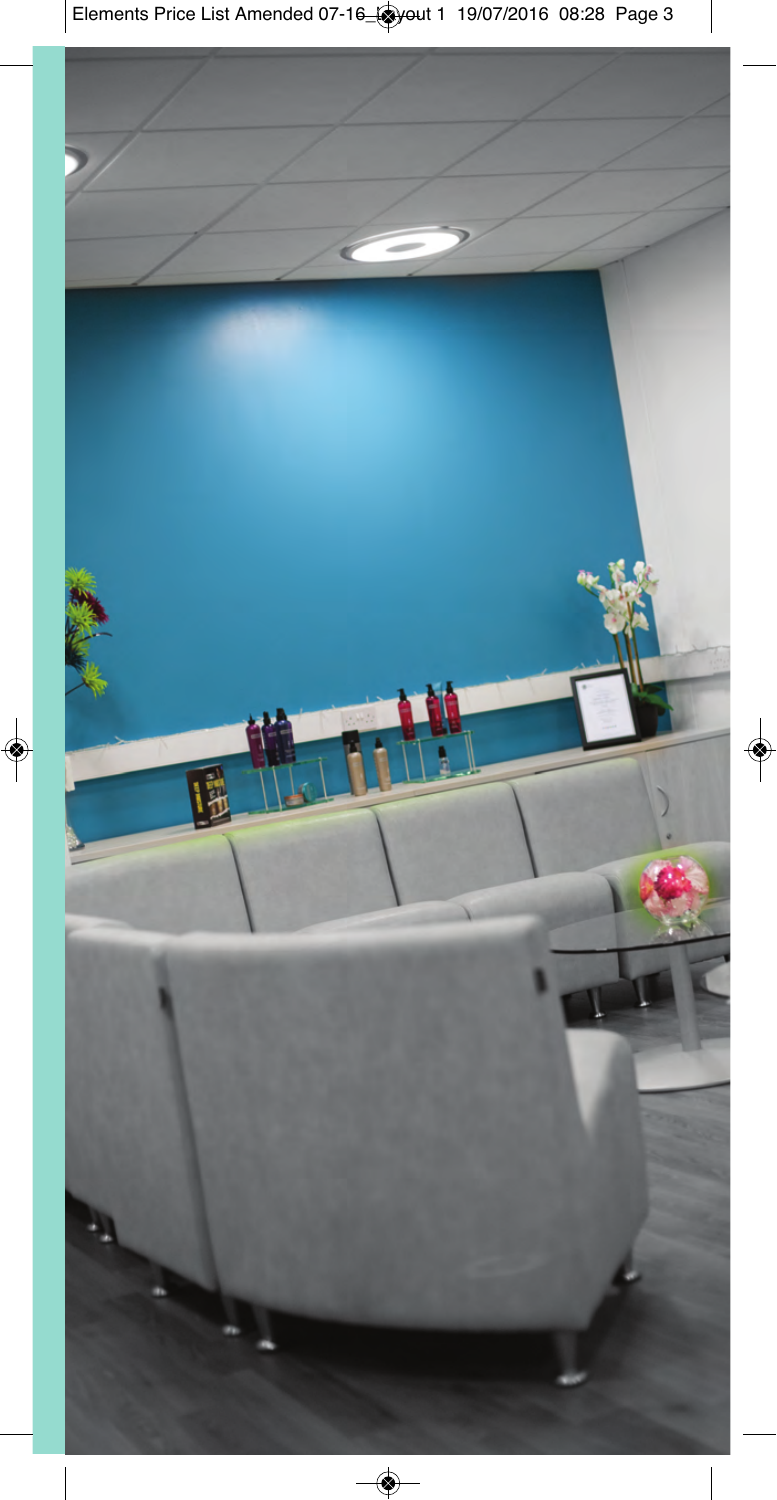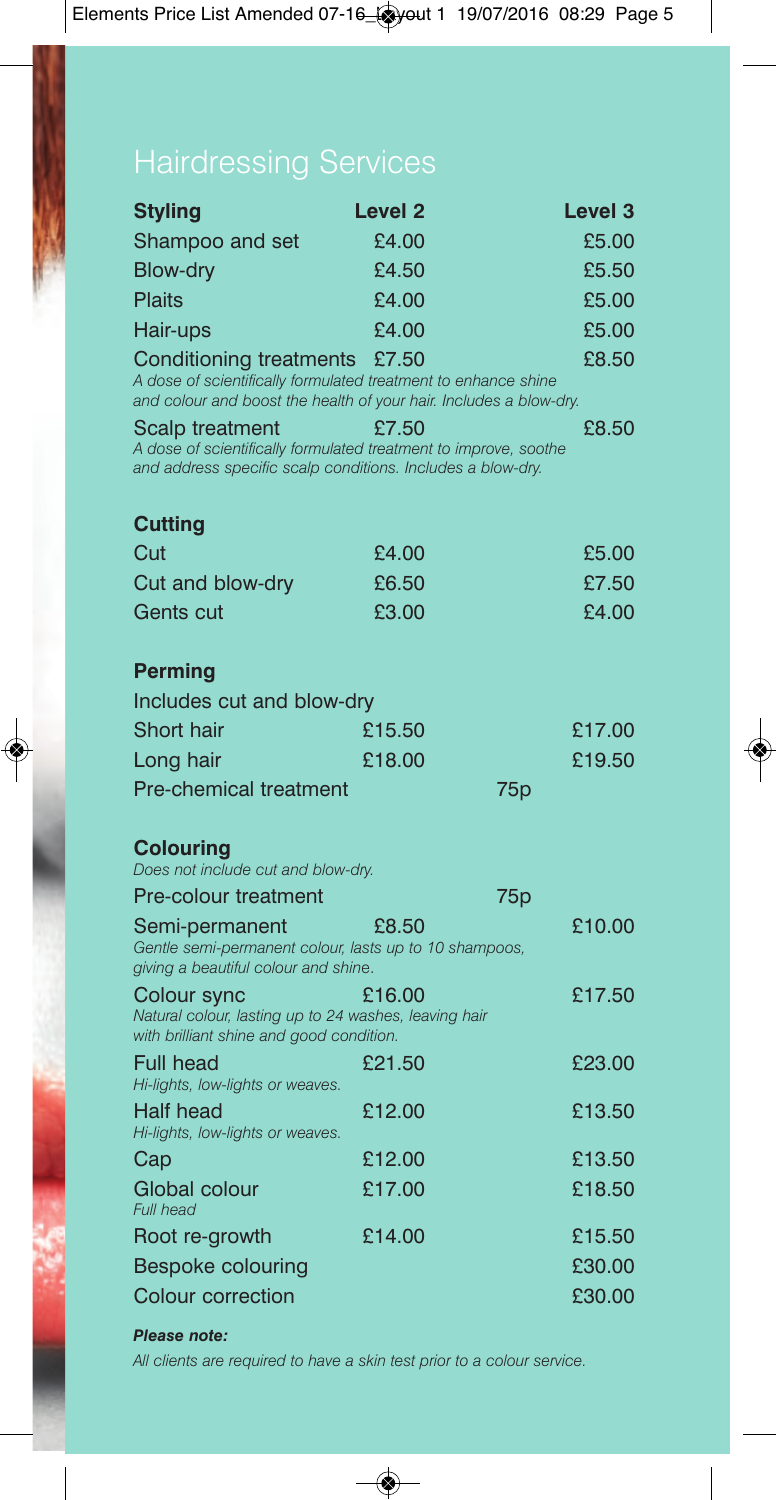| <b>Styling</b>                                                                                                                                                  | <b>Level 2</b> | <b>Level 3</b>  |
|-----------------------------------------------------------------------------------------------------------------------------------------------------------------|----------------|-----------------|
| Shampoo and set                                                                                                                                                 | £4.00          | £5.00           |
| Blow-dry                                                                                                                                                        | £4.50          | £5.50           |
| <b>Plaits</b>                                                                                                                                                   | £4.00          | £5.00           |
| Hair-ups                                                                                                                                                        | £4.00          | £5.00           |
| Conditioning treatments<br>A dose of scientifically formulated treatment to enhance shine<br>and colour and boost the health of your hair. Includes a blow-dry. | £7.50          | £8.50           |
| Scalp treatment<br>A dose of scientifically formulated treatment to improve, soothe<br>and address specific scalp conditions. Includes a blow-dry.              | £7.50          | £8.50           |
| <b>Cutting</b>                                                                                                                                                  |                |                 |
| Cut                                                                                                                                                             | £4.00          | £5.00           |
| Cut and blow-dry                                                                                                                                                | £6.50          | £7.50           |
| Gents cut                                                                                                                                                       | £3.00          | £4.00           |
| <b>Perming</b>                                                                                                                                                  |                |                 |
| Includes cut and blow-dry                                                                                                                                       |                |                 |
| Short hair                                                                                                                                                      | £15.50         | £17.00          |
| Long hair                                                                                                                                                       | £18.00         | £19.50          |
| Pre-chemical treatment                                                                                                                                          |                | 75 <sub>p</sub> |
| <b>Colouring</b><br>Does not include cut and blow-dry.                                                                                                          |                |                 |
| Pre-colour treatment                                                                                                                                            |                | 75p             |
| Semi-permanent<br>Gentle semi-permanent colour, lasts up to 10 shampoos,<br>giving a beautiful colour and shine.                                                | £8.50          | £10.00          |
| Colour sync<br>Natural colour, lasting up to 24 washes, leaving hair<br>with brilliant shine and good condition.                                                | £16.00         | £17.50          |
| <b>Full head</b><br>Hi-lights, low-lights or weaves.                                                                                                            | £21.50         | £23.00          |
| Half head<br>Hi-lights, low-lights or weaves.                                                                                                                   | £12.00         | £13.50          |
| Cap                                                                                                                                                             | £12.00         | £13.50          |
| Global colour<br>Full head                                                                                                                                      | £17.00         | £18.50          |
| Root re-growth                                                                                                                                                  | £14.00         | £15.50          |
| Bespoke colouring                                                                                                                                               |                | £30.00          |
| Colour correction                                                                                                                                               |                | £30.00          |

#### *Please note:*

*All clients are required to have a skin test prior to a colour service.*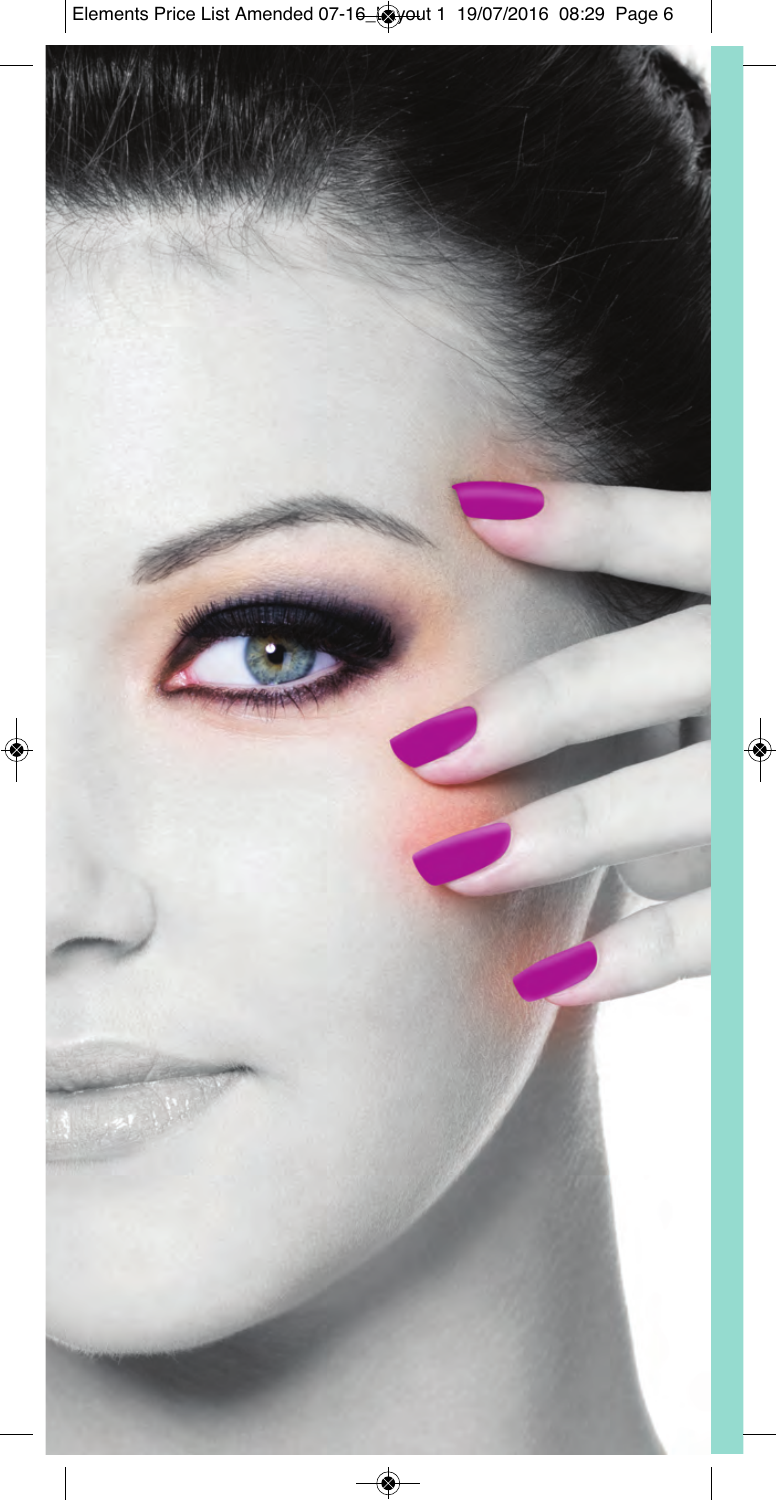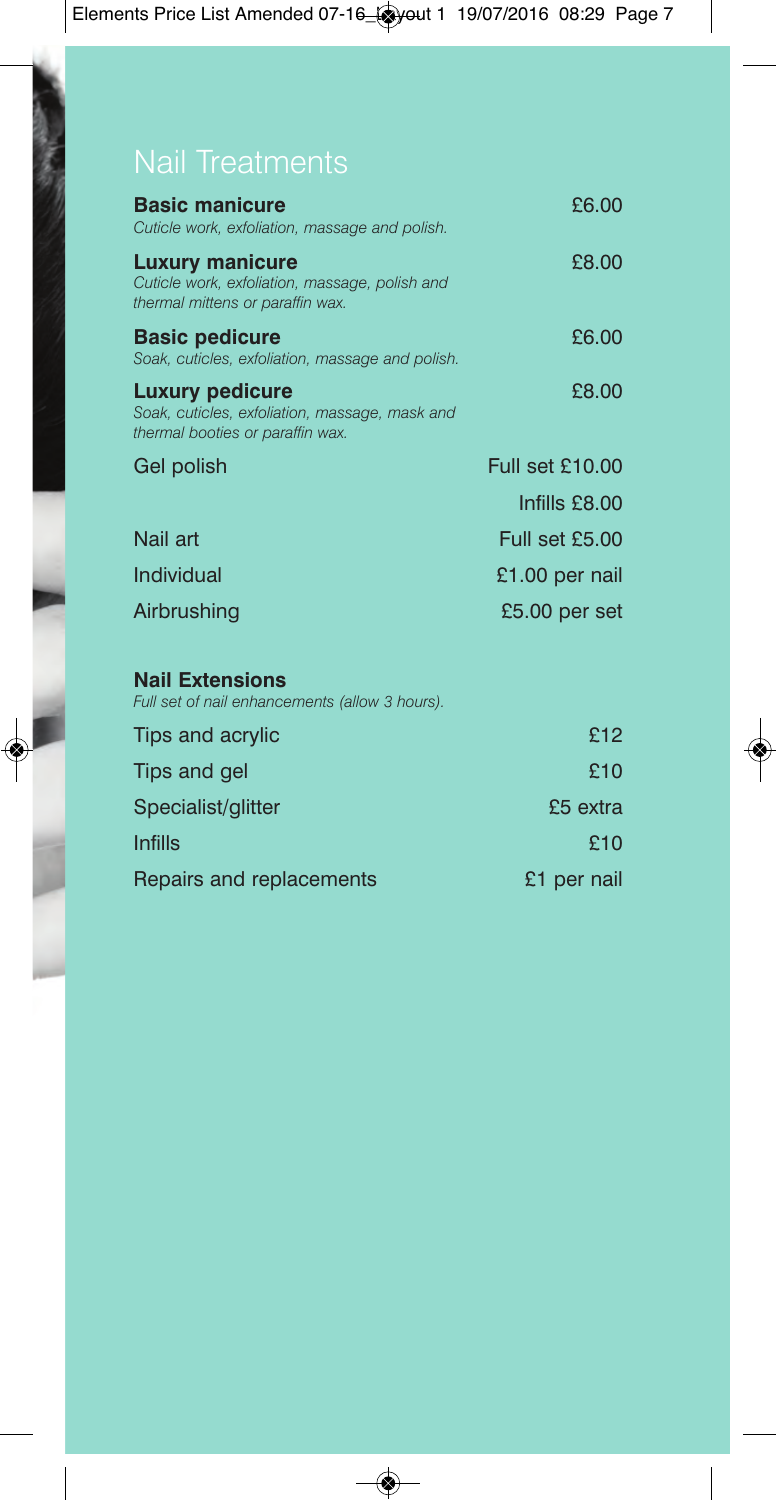| <b>Basic manicure</b><br>Cuticle work, exfoliation, massage and polish.                                      | £6.00                  |
|--------------------------------------------------------------------------------------------------------------|------------------------|
| <b>Luxury manicure</b><br>Cuticle work, exfoliation, massage, polish and<br>thermal mittens or paraffin wax. | £8.00                  |
| <b>Basic pedicure</b><br>Soak, cuticles, exfoliation, massage and polish.                                    | £6.00                  |
| <b>Luxury pedicure</b><br>Soak, cuticles, exfoliation, massage, mask and<br>thermal booties or paraffin wax. | £8.00                  |
| Gel polish                                                                                                   | <b>Full set £10.00</b> |
|                                                                                                              | Infills £8.00          |
| Nail art                                                                                                     | Full set £5.00         |
| Individual                                                                                                   | £1.00 per nail         |
| Airbrushing                                                                                                  | £5.00 per set          |
| <b>Nail Extensions</b><br>Full set of nail enhancements (allow 3 hours).                                     |                        |
| Tips and acrylic                                                                                             | £12                    |
| Tips and gel                                                                                                 | £10                    |
| Specialist/glitter                                                                                           | £5 extra               |

| <b>Infills</b>           | £10         |
|--------------------------|-------------|
| Repairs and replacements | £1 per nail |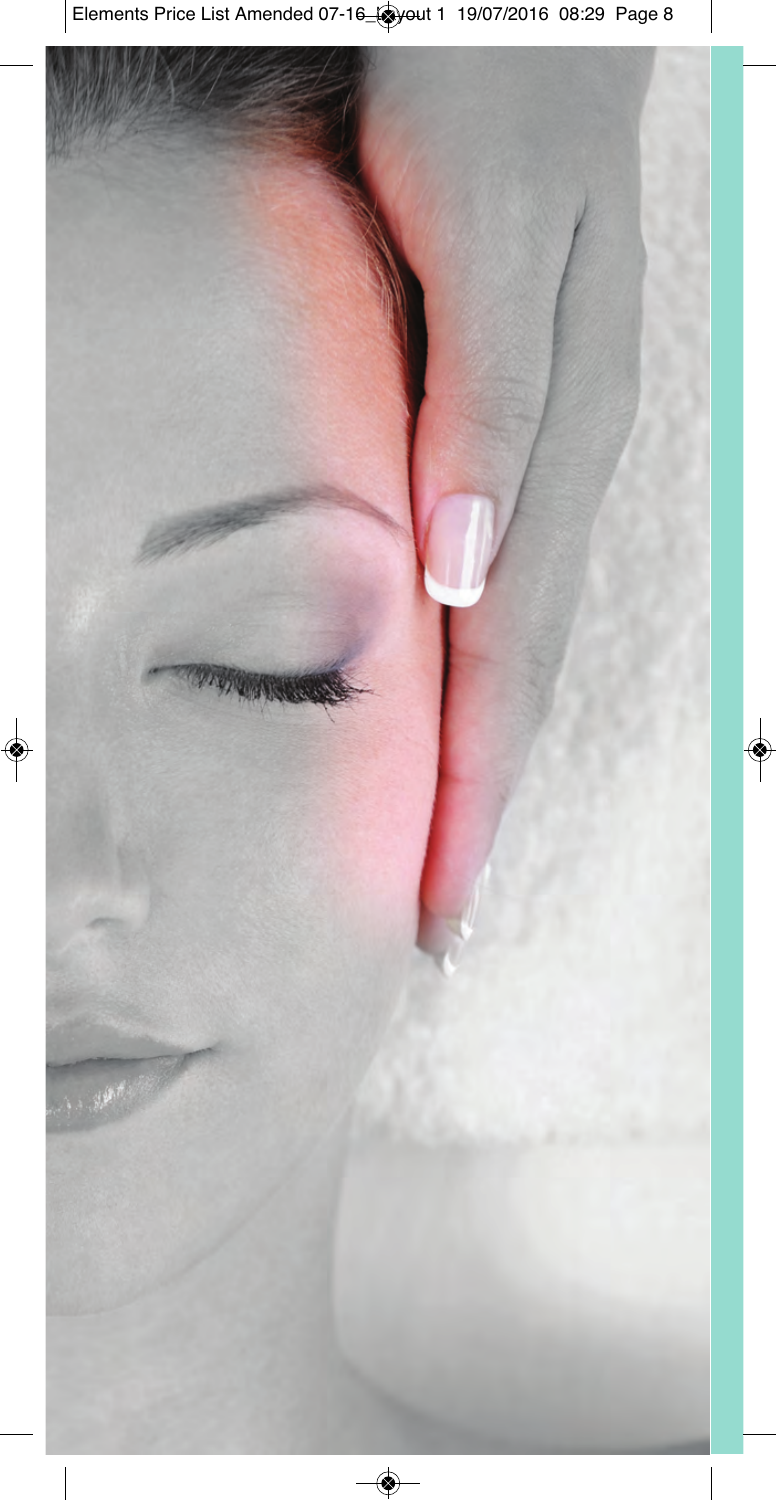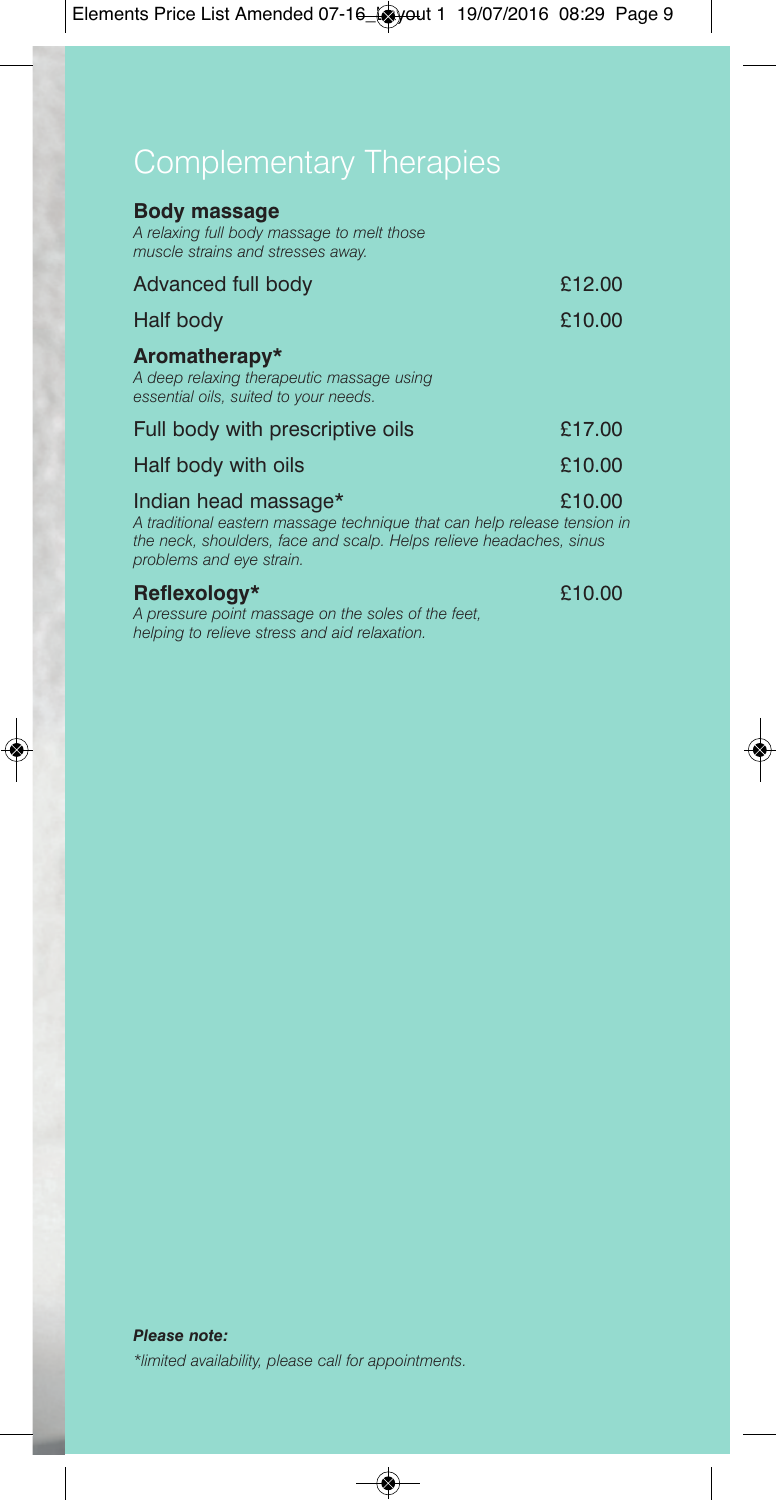*A pressure point massage on the soles of the feet, helping to relieve stress and aid relaxation.*

| <b>Body massage</b><br>A relaxing full body massage to melt those<br>muscle strains and stresses away.                                                                                              |        |
|-----------------------------------------------------------------------------------------------------------------------------------------------------------------------------------------------------|--------|
| Advanced full body                                                                                                                                                                                  | £12.00 |
| Half body                                                                                                                                                                                           | £10.00 |
| Aromatherapy*<br>A deep relaxing therapeutic massage using<br>essential oils, suited to your needs.                                                                                                 |        |
| Full body with prescriptive oils                                                                                                                                                                    | £17.00 |
| Half body with oils                                                                                                                                                                                 | £10.00 |
| Indian head massage*<br>A traditional eastern massage technique that can help release tension in<br>the neck, shoulders, face and scalp. Helps relieve headaches, sinus<br>problems and eye strain. | £10.00 |
| Reflexology*                                                                                                                                                                                        | £10.00 |

*Please note: \*limited availability, please call for appointments.*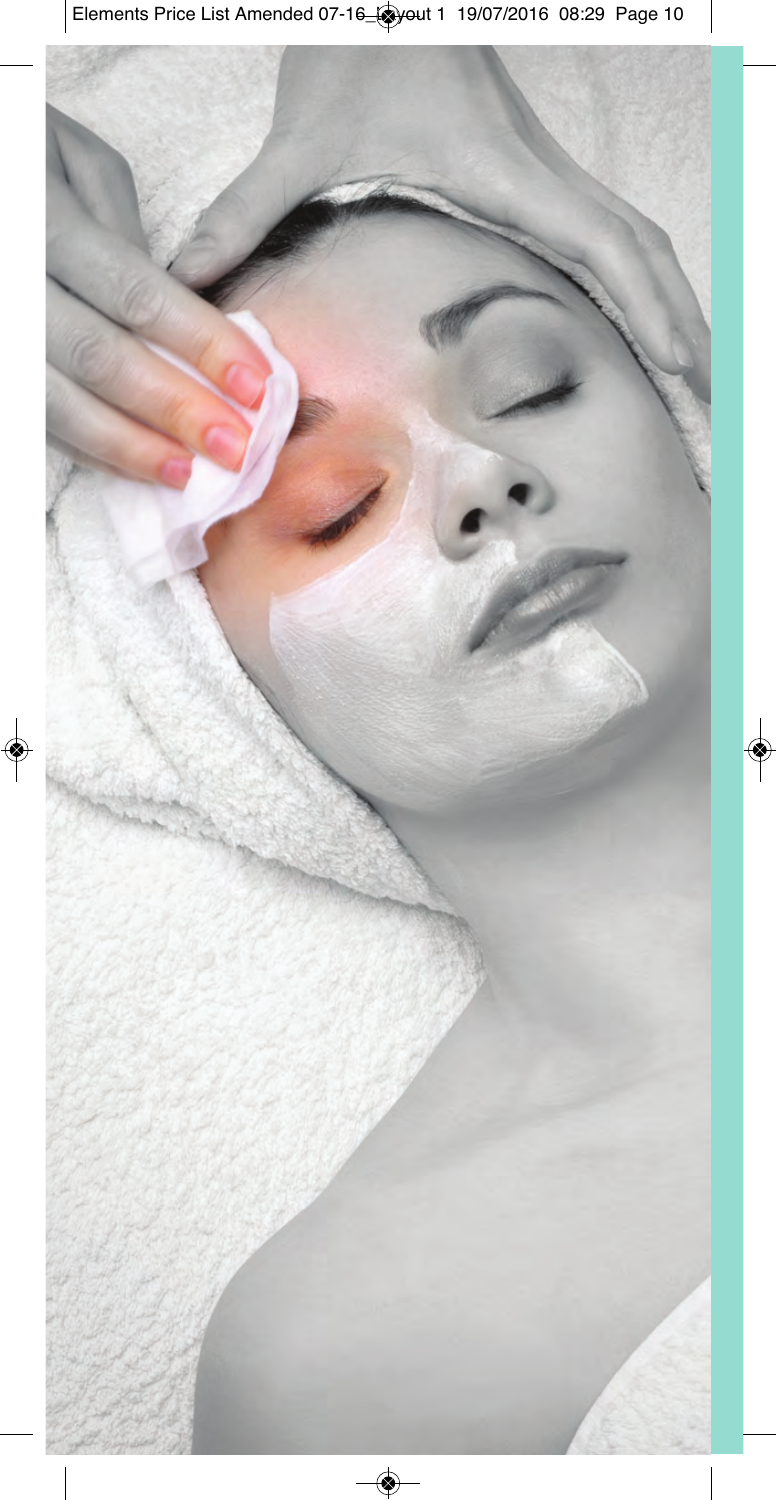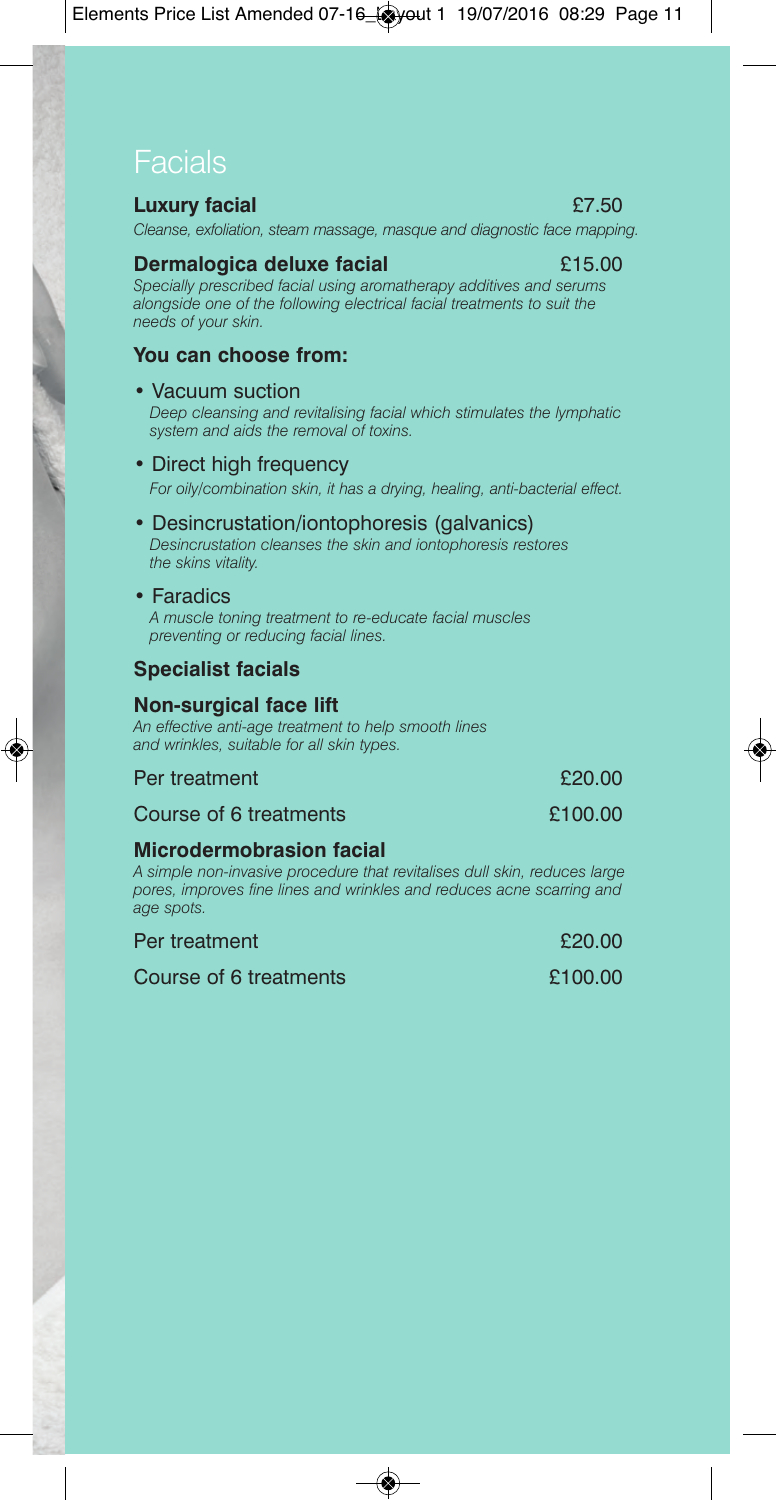## Facials

### **Luxury facial** £7.50

*Cleanse, exfoliation, steam massage, masque and diagnostic face mapping.*

### **Dermalogica deluxe facial** 215.00

*Specially prescribed facial using aromatherapy additives and serums alongside one of the following electrical facial treatments to suit the needs of your skin.*

### **You can choose from:**

#### • Vacuum suction

*Deep cleansing and revitalising facial which stimulates the lymphatic system and aids the removal of toxins.*

• Direct high frequency

*For oily/combination skin, it has a drying, healing, anti-bacterial effect.*

#### • Desincrustation/iontophoresis (galvanics)

*Desincrustation cleanses the skin and iontophoresis restores the skins vitality.*

#### • Faradics

*A muscle toning treatment to re-educate facial muscles preventing or reducing facial lines.*

### **Specialist facials**

### **Non-surgical face lift**

*An effective anti-age treatment to help smooth lines and wrinkles, suitable for all skin types.*

#### Per treatment  $\overline{20.00}$

Course of 6 treatments £100.00

### **Microdermobrasion facial**

*A simple non-invasive procedure that revitalises dull skin, reduces large pores, improves fine lines and wrinkles and reduces acne scarring and age spots.*

| Per treatment          | £20.00  |
|------------------------|---------|
| Course of 6 treatments | £100.00 |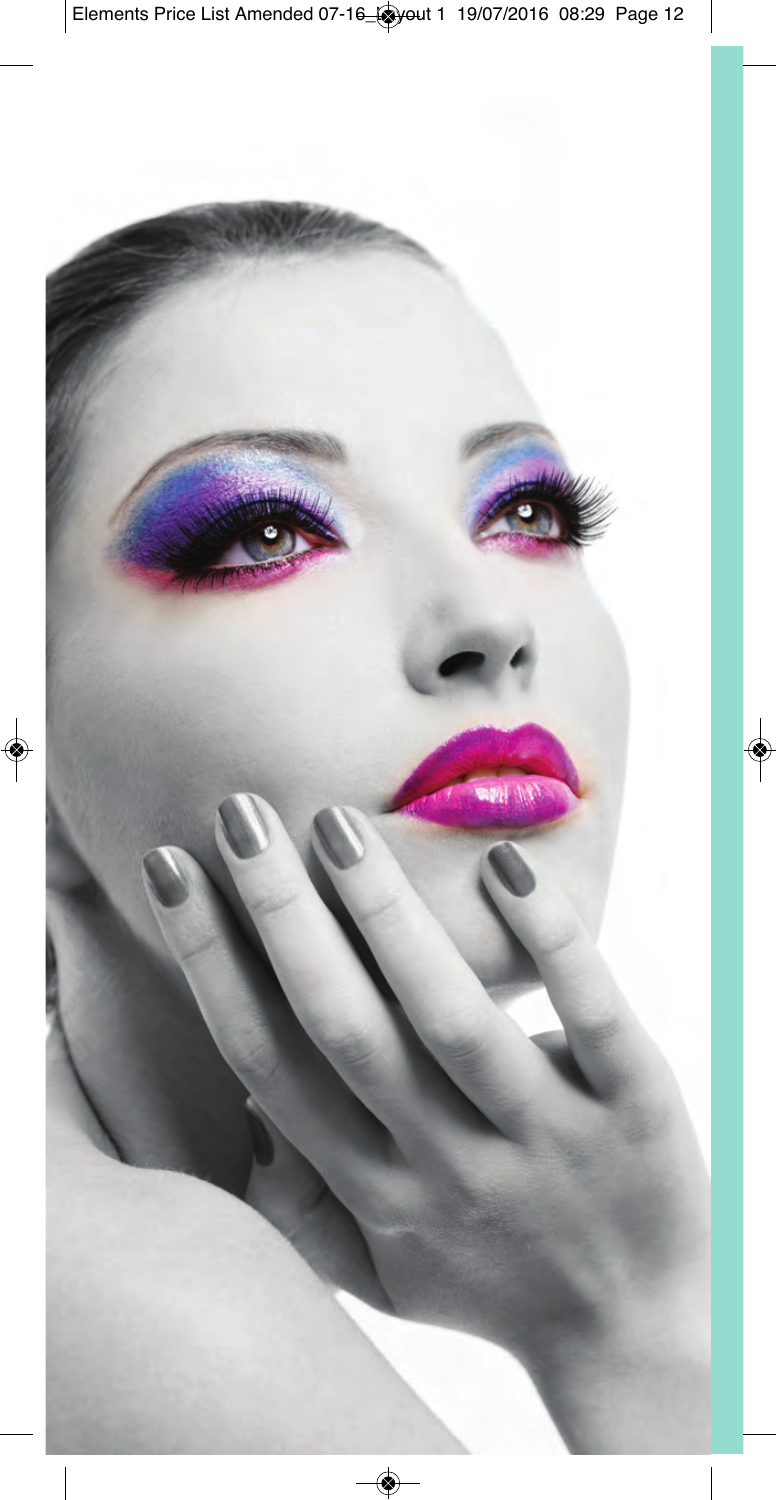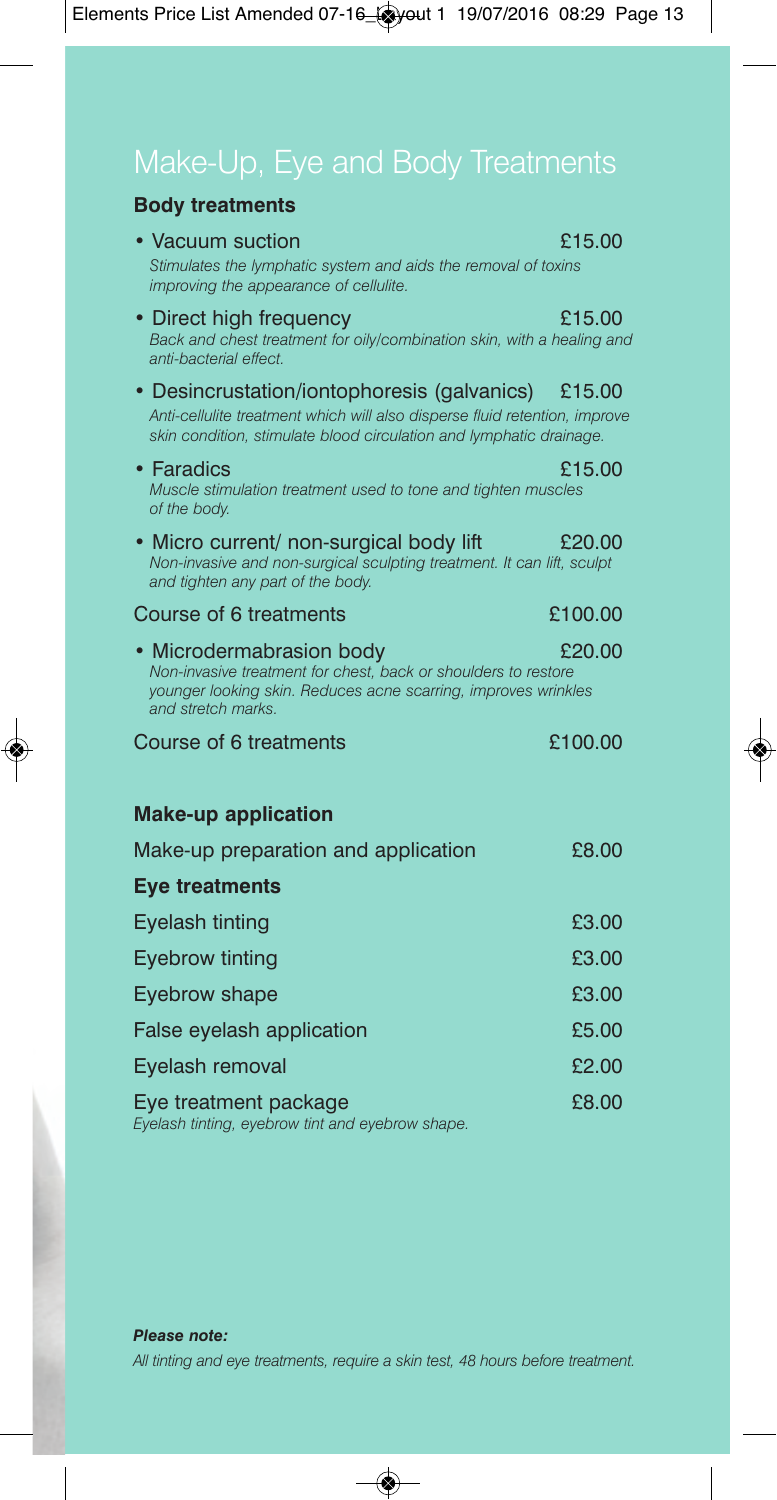## **Body treatments**

| • Vacuum suction                                                                                                                                                                   | £15.00  |
|------------------------------------------------------------------------------------------------------------------------------------------------------------------------------------|---------|
| Stimulates the lymphatic system and aids the removal of toxins<br>improving the appearance of cellulite.                                                                           |         |
| • Direct high frequency                                                                                                                                                            | £15.00  |
| Back and chest treatment for oily/combination skin, with a healing and<br>anti-bacterial effect.                                                                                   |         |
| • Desincrustation/iontophoresis (galvanics)                                                                                                                                        | £15.00  |
| Anti-cellulite treatment which will also disperse fluid retention, improve<br>skin condition, stimulate blood circulation and lymphatic drainage.                                  |         |
| • Faradics<br>Muscle stimulation treatment used to tone and tighten muscles                                                                                                        | £15.00  |
| of the body.                                                                                                                                                                       |         |
| • Micro current/ non-surgical body lift<br>Non-invasive and non-surgical sculpting treatment. It can lift, sculpt<br>and tighten any part of the body.                             | £20.00  |
| Course of 6 treatments                                                                                                                                                             | £100.00 |
| • Microdermabrasion body<br>Non-invasive treatment for chest, back or shoulders to restore<br>younger looking skin. Reduces acne scarring, improves wrinkles<br>and stretch marks. | £20.00  |
| Course of 6 treatments                                                                                                                                                             | £100.00 |
| <b>Make-up application</b>                                                                                                                                                         |         |
| Make-up preparation and application                                                                                                                                                | £8.00   |
| <b>Eye treatments</b>                                                                                                                                                              |         |
| Eyelash tinting                                                                                                                                                                    | £3.00   |
| Evebrow tinting                                                                                                                                                                    | £3.00   |
| Eyebrow shape                                                                                                                                                                      | £3.00   |
| False eyelash application                                                                                                                                                          | £5.00   |
| Eyelash removal                                                                                                                                                                    | £2.00   |
| Eye treatment package<br>Eyelash tinting, eyebrow tint and eyebrow shape.                                                                                                          | £8.00   |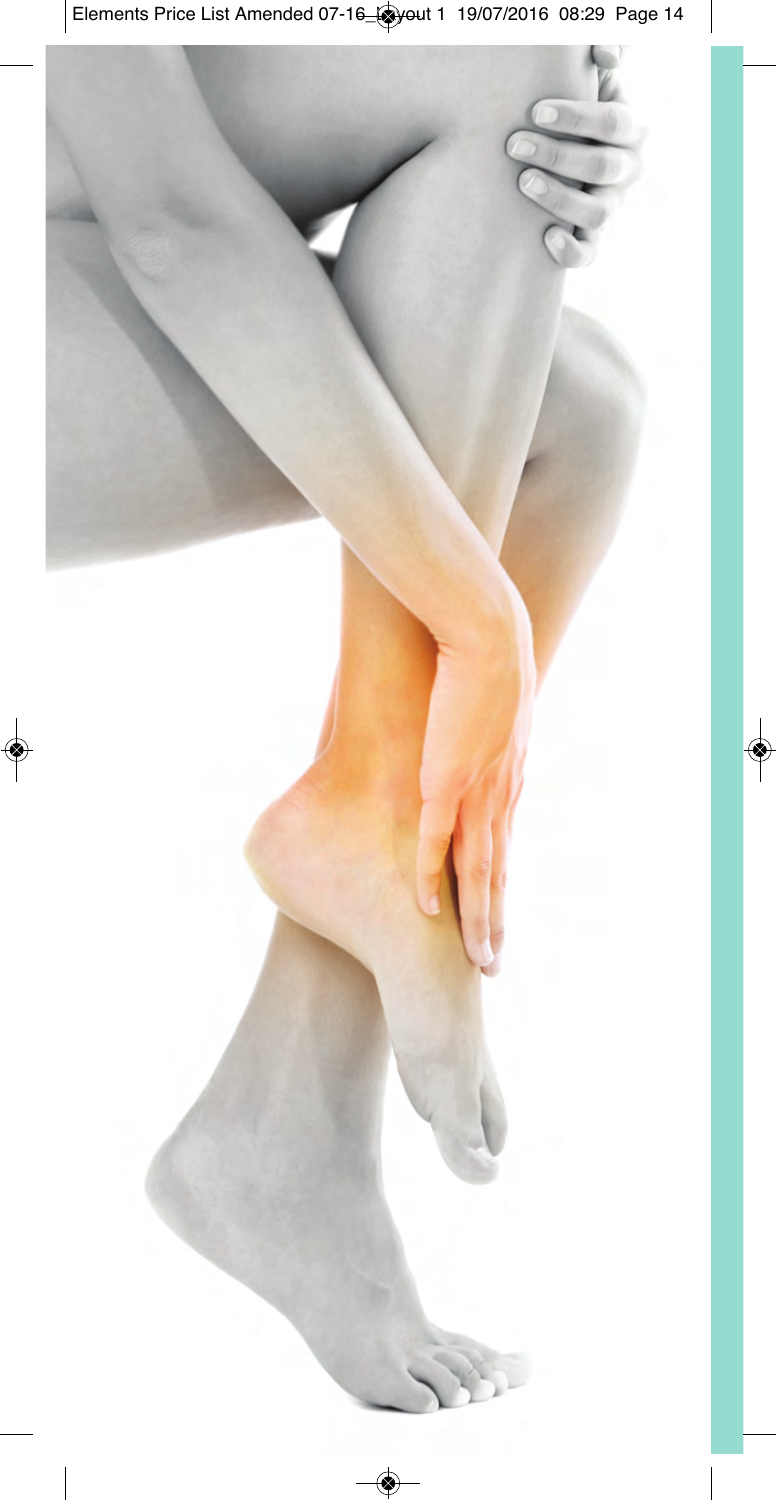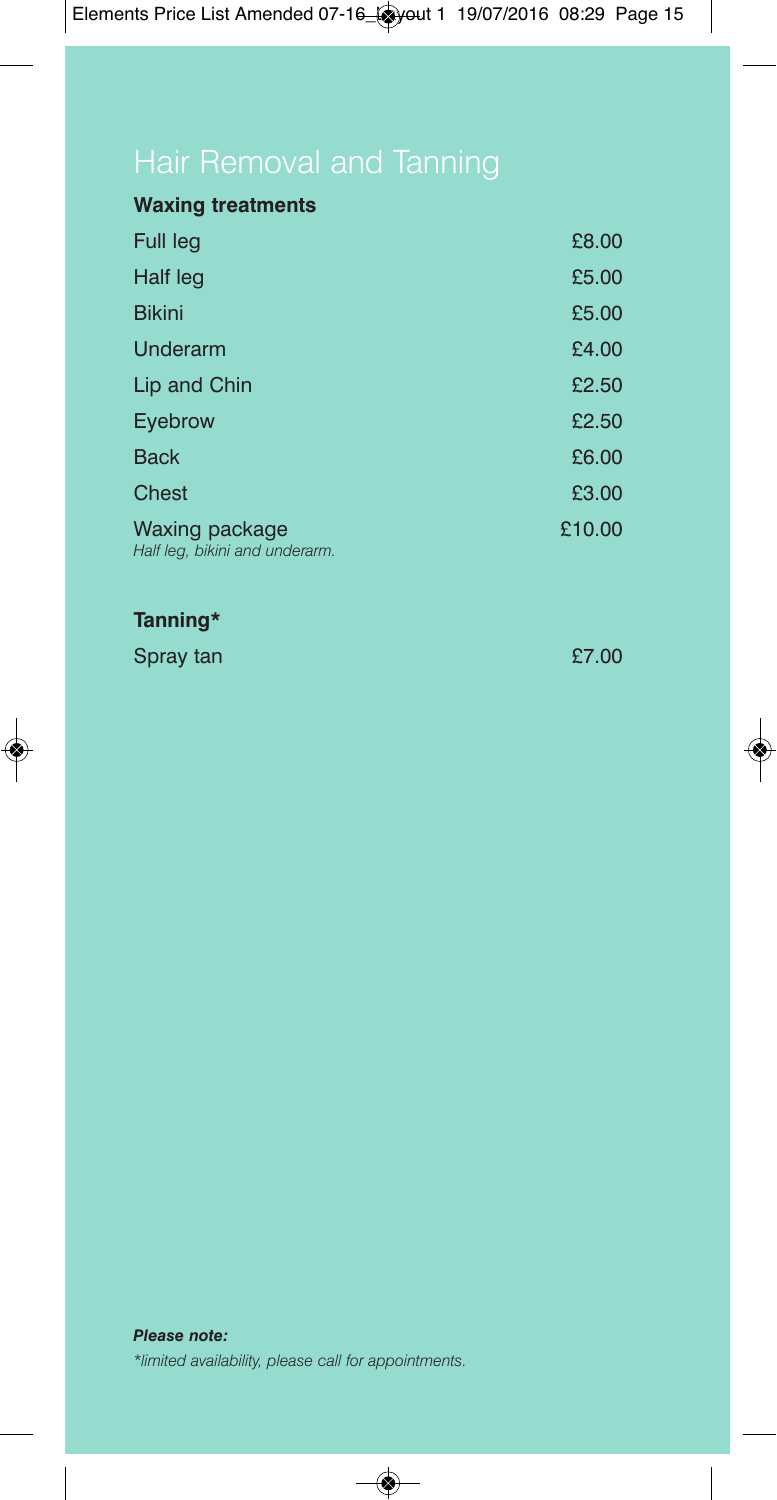| <b>Waxing treatments</b>                                |        |
|---------------------------------------------------------|--------|
| Full leg                                                | £8.00  |
| Half leg                                                | £5.00  |
| <b>Bikini</b>                                           | £5.00  |
| Underarm                                                | £4.00  |
| Lip and Chin                                            | £2.50  |
| Eyebrow                                                 | £2.50  |
| <b>Back</b>                                             | £6.00  |
| <b>Chest</b>                                            | £3.00  |
| <b>Waxing package</b><br>Half leg, bikini and underarm. | £10.00 |

| Tanning* |  |  |  |
|----------|--|--|--|
|          |  |  |  |

| Spray tan | £7.00 |
|-----------|-------|
|           |       |